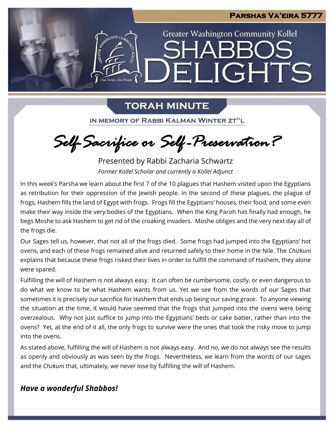

# **TORAH MINUTE**

IN MEMORY OF RABBI KALMAN WINTER ZT"L

*Self-Sacrifice or Self -Preservation?*

Presented by Rabbi Zacharia Schwartz *Former Kollel Scholar and currently a Kollel Adjunct*

In this week's Parsha we learn about the first 7 of the 10 plagues that Hashem visited upon the Egyptians as retribution for their oppression of the Jewish people. In the second of these plagues, the plague of frogs, Hashem fills the land of Egypt with frogs. Frogs fill the Egyptians' houses, their food, and some even make their way inside the very bodies of the Egyptians. When the King Paroh has finally had enough, he begs Moshe to ask Hashem to get rid of the croaking invaders. Moshe obliges and the very next day all of the frogs die.

Our Sages tell us, however, that not all of the frogs died. Some frogs had jumped into the Egyptians' hot ovens, and each of these frogs remained alive and returned safely to their home in the Nile. The *Chizkuni* explains that because these frogs risked their lives in order to fulfill the command of Hashem, they alone were spared.

Fulfilling the will of Hashem is not always easy. It can often be cumbersome, costly, or even dangerous to do what we know to be what Hashem wants from us. Yet we see from the words of our Sages that sometimes it is precisely our sacrifice for Hashem that ends up being our saving grace. To anyone viewing the situation at the time, it would have seemed that the frogs that jumped into the ovens were being overzealous. Why not just suffice to jump into the Egyptians' beds or cake batter, rather than into the ovens? Yet, at the end of it all, the only frogs to survive were the ones that took the risky move to jump into the ovens.

As stated above, fulfilling the will of Hashem is not always easy. And no, we do not always see the results as openly and obviously as was seen by the frogs. Nevertheless, we learn from the words of our sages and the *Chzkuni* that, ultimately, we never lose by fulfilling the will of Hashem.

## *Have a wonderful Shabbos!*